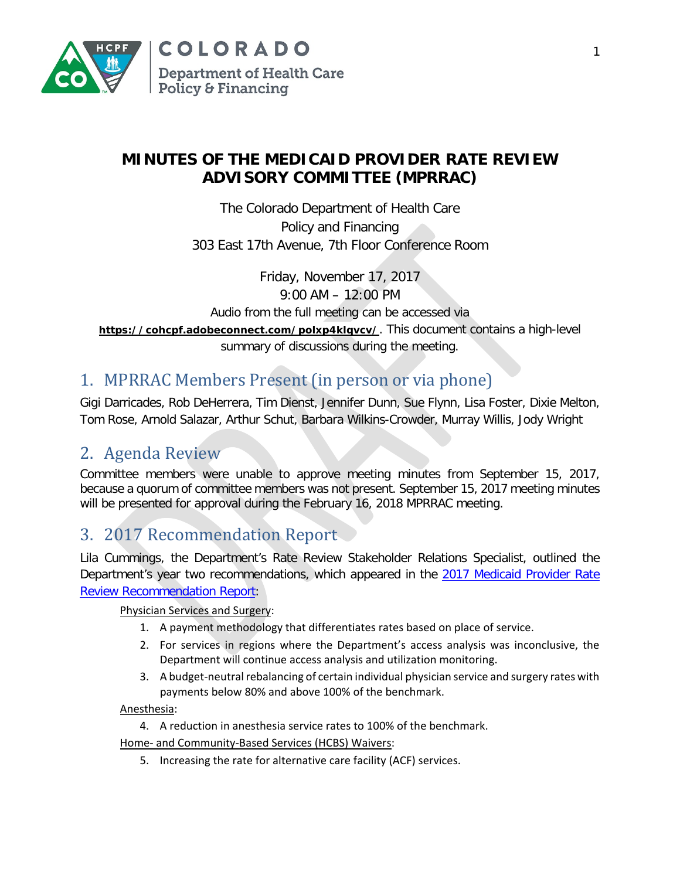

### **MINUTES OF THE MEDICAID PROVIDER RATE REVIEW ADVISORY COMMITTEE (MPRRAC)**

The Colorado Department of Health Care Policy and Financing 303 East 17th Avenue, 7th Floor Conference Room

> Friday, November 17, 2017 9:00 AM – 12:00 PM

Audio from the full meeting can be accessed via

**[https://cohcpf.adobeconnect.com/polxp4klqvcv/](https://cohcpf.adobeconnect.com/polxp4klqvcv/?OWASP_CSRFTOKEN=8d77d172f32abf9ff03b38e2ef6a2444fcd32efbdcc46e01bf5bf3834997a8cd)**. This document contains a high-level

summary of discussions during the meeting.

# 1. MPRRAC Members Present (in person or via phone)

Gigi Darricades, Rob DeHerrera, Tim Dienst, Jennifer Dunn, Sue Flynn, Lisa Foster, Dixie Melton, Tom Rose, Arnold Salazar, Arthur Schut, Barbara Wilkins-Crowder, Murray Willis, Jody Wright

## 2. Agenda Review

Committee members were unable to approve meeting minutes from September 15, 2017, because a quorum of committee members was not present. September 15, 2017 meeting minutes will be presented for approval during the February 16, 2018 MPRRAC meeting.

## 3. 2017 Recommendation Report

Lila Cummings, the Department's Rate Review Stakeholder Relations Specialist, outlined the Department's year two recommendations, which appeared in the 2017 Medicaid Provider Rate [Review Recommendation Report:](https://www.colorado.gov/pacific/sites/default/files/2017%20Medicaid%20Provider%20Rate%20Review%20Recommendation%20Report%20November%202017.pdf)

Physician Services and Surgery:

- 1. A payment methodology that differentiates rates based on place of service.
- 2. For services in regions where the Department's access analysis was inconclusive, the Department will continue access analysis and utilization monitoring.
- 3. A budget-neutral rebalancing of certain individual physician service and surgery rates with payments below 80% and above 100% of the benchmark.

Anesthesia:

4. A reduction in anesthesia service rates to 100% of the benchmark.

Home- and Community-Based Services (HCBS) Waivers:

5. Increasing the rate for alternative care facility (ACF) services.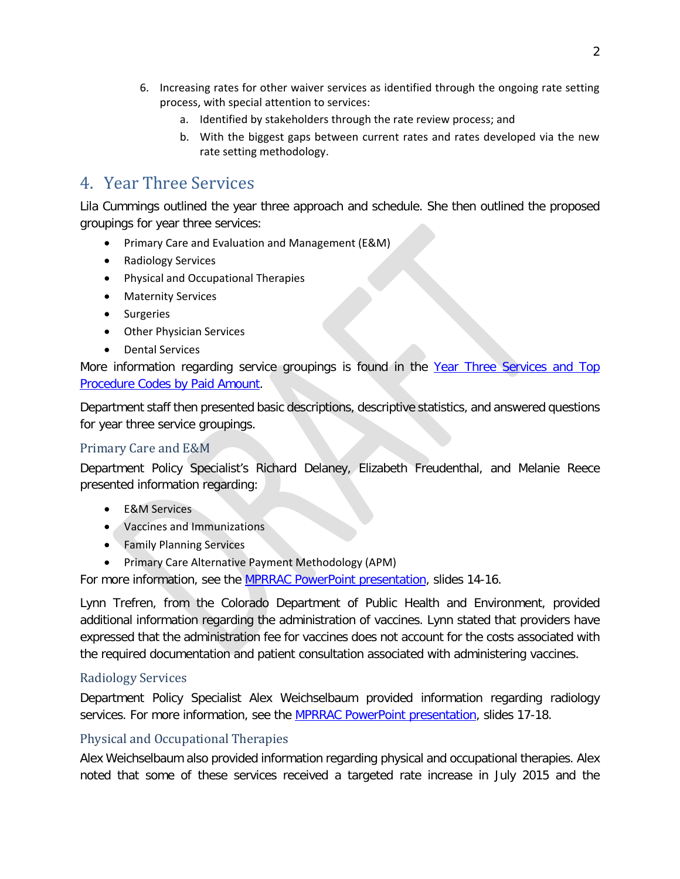- 6. Increasing rates for other waiver services as identified through the ongoing rate setting process, with special attention to services:
	- a. Identified by stakeholders through the rate review process; and
	- b. With the biggest gaps between current rates and rates developed via the new rate setting methodology.

### 4. Year Three Services

Lila Cummings outlined the year three approach and schedule. She then outlined the proposed groupings for year three services:

- Primary Care and Evaluation and Management (E&M)
- Radiology Services
- Physical and Occupational Therapies
- Maternity Services
- Surgeries
- Other Physician Services
- Dental Services

More information regarding service groupings is found in the [Year Three Services and Top](https://www.colorado.gov/pacific/sites/default/files/Year%20Three%20Services%20and%20Top%20Procedure%20Codes%20by%20Paid%20Amount%20November%202017.pdf)  [Procedure Codes by Paid Amount.](https://www.colorado.gov/pacific/sites/default/files/Year%20Three%20Services%20and%20Top%20Procedure%20Codes%20by%20Paid%20Amount%20November%202017.pdf)

Department staff then presented basic descriptions, descriptive statistics, and answered questions for year three service groupings.

#### Primary Care and E&M

Department Policy Specialist's Richard Delaney, Elizabeth Freudenthal, and Melanie Reece presented information regarding:

- E&M Services
- Vaccines and Immunizations
- Family Planning Services
- Primary Care Alternative Payment Methodology (APM)

For more information, see the [MPRRAC PowerPoint presentation,](https://www.colorado.gov/pacific/sites/default/files/MPRRAC%20Presentation%20November%202017.pdf) slides 14-16.

Lynn Trefren, from the Colorado Department of Public Health and Environment, provided additional information regarding the administration of vaccines. Lynn stated that providers have expressed that the administration fee for vaccines does not account for the costs associated with the required documentation and patient consultation associated with administering vaccines.

#### Radiology Services

Department Policy Specialist Alex Weichselbaum provided information regarding radiology services. For more information, see the [MPRRAC PowerPoint presentation,](https://www.colorado.gov/pacific/sites/default/files/MPRRAC%20Presentation%20November%202017.pdf) slides 17-18.

#### Physical and Occupational Therapies

Alex Weichselbaum also provided information regarding physical and occupational therapies. Alex noted that some of these services received a targeted rate increase in July 2015 and the